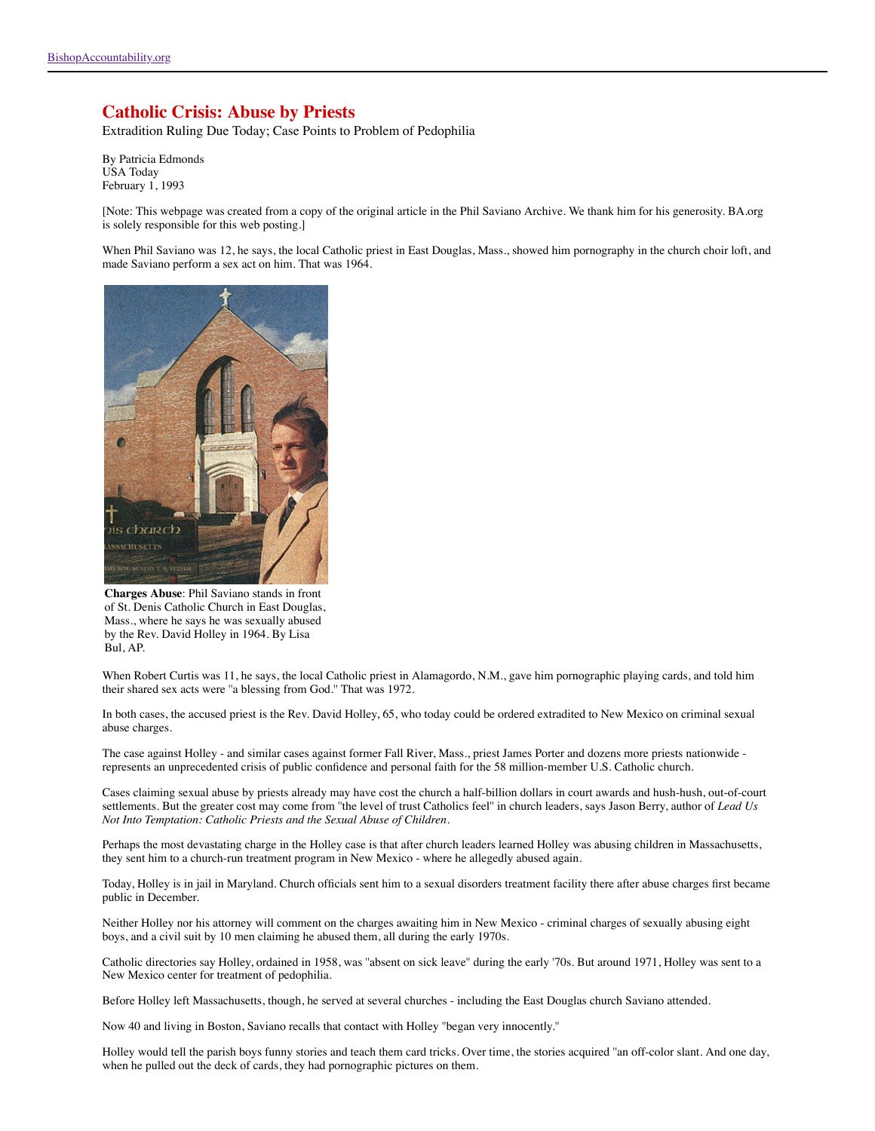## **Catholic Crisis: Abuse by Priests**

Extradition Ruling Due Today; Case Points to Problem of Pedophilia

By Patricia Edmonds USA Today February 1, 1993

[Note: This webpage was created from a copy of the original article in the Phil Saviano Archive. We thank him for his generosity. BA.org is solely responsible for this web posting.]

When Phil Saviano was 12, he says, the local Catholic priest in East Douglas, Mass., showed him pornography in the church choir loft, and made Saviano perform a sex act on him. That was 1964.



**Charges Abuse**: Phil Saviano stands in front of St. Denis Catholic Church in East Douglas, Mass., where he says he was sexually abused by the Rev. David Holley in 1964. By Lisa Bul, AP.

When Robert Curtis was 11, he says, the local Catholic priest in Alamagordo, N.M., gave him pornographic playing cards, and told him their shared sex acts were ''a blessing from God.'' That was 1972.

In both cases, the accused priest is the Rev. David Holley, 65, who today could be ordered extradited to New Mexico on criminal sexual abuse charges.

The case against Holley - and similar cases against former Fall River, Mass., priest James Porter and dozens more priests nationwide represents an unprecedented crisis of public confidence and personal faith for the 58 million-member U.S. Catholic church.

Cases claiming sexual abuse by priests already may have cost the church a half-billion dollars in court awards and hush-hush, out-of-court settlements. But the greater cost may come from ''the level of trust Catholics feel'' in church leaders, says Jason Berry, author of *Lead Us Not Into Temptation: Catholic Priests and the Sexual Abuse of Children*.

Perhaps the most devastating charge in the Holley case is that after church leaders learned Holley was abusing children in Massachusetts, they sent him to a church-run treatment program in New Mexico - where he allegedly abused again.

Today, Holley is in jail in Maryland. Church officials sent him to a sexual disorders treatment facility there after abuse charges first became public in December.

Neither Holley nor his attorney will comment on the charges awaiting him in New Mexico - criminal charges of sexually abusing eight boys, and a civil suit by 10 men claiming he abused them, all during the early 1970s.

Catholic directories say Holley, ordained in 1958, was ''absent on sick leave'' during the early '70s. But around 1971, Holley was sent to a New Mexico center for treatment of pedophilia.

Before Holley left Massachusetts, though, he served at several churches - including the East Douglas church Saviano attended.

Now 40 and living in Boston, Saviano recalls that contact with Holley ''began very innocently.''

Holley would tell the parish boys funny stories and teach them card tricks. Over time, the stories acquired ''an off-color slant. And one day, when he pulled out the deck of cards, they had pornographic pictures on them.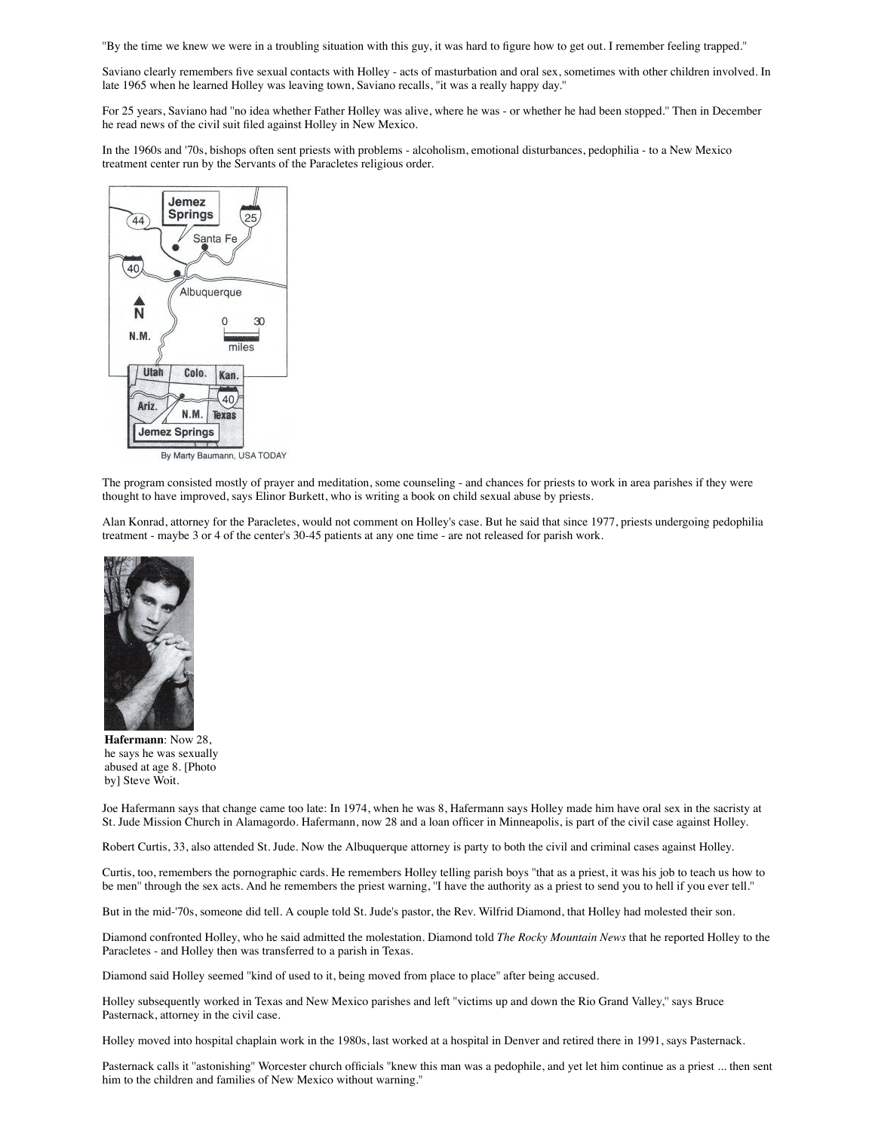''By the time we knew we were in a troubling situation with this guy, it was hard to figure how to get out. I remember feeling trapped.''

Saviano clearly remembers five sexual contacts with Holley - acts of masturbation and oral sex, sometimes with other children involved. In late 1965 when he learned Holley was leaving town, Saviano recalls, ''it was a really happy day.''

For 25 years, Saviano had ''no idea whether Father Holley was alive, where he was - or whether he had been stopped.'' Then in December he read news of the civil suit filed against Holley in New Mexico.

In the 1960s and '70s, bishops often sent priests with problems - alcoholism, emotional disturbances, pedophilia - to a New Mexico treatment center run by the Servants of the Paracletes religious order.



By Marty Baumann, USA TODAY

The program consisted mostly of prayer and meditation, some counseling - and chances for priests to work in area parishes if they were thought to have improved, says Elinor Burkett, who is writing a book on child sexual abuse by priests.

Alan Konrad, attorney for the Paracletes, would not comment on Holley's case. But he said that since 1977, priests undergoing pedophilia treatment - maybe 3 or 4 of the center's 30-45 patients at any one time - are not released for parish work.



**Hafermann**: Now 28, he says he was sexually abused at age 8. [Photo by] Steve Woit.

Joe Hafermann says that change came too late: In 1974, when he was 8, Hafermann says Holley made him have oral sex in the sacristy at St. Jude Mission Church in Alamagordo. Hafermann, now 28 and a loan officer in Minneapolis, is part of the civil case against Holley.

Robert Curtis, 33, also attended St. Jude. Now the Albuquerque attorney is party to both the civil and criminal cases against Holley.

Curtis, too, remembers the pornographic cards. He remembers Holley telling parish boys ''that as a priest, it was his job to teach us how to be men'' through the sex acts. And he remembers the priest warning, ''I have the authority as a priest to send you to hell if you ever tell.''

But in the mid-'70s, someone did tell. A couple told St. Jude's pastor, the Rev. Wilfrid Diamond, that Holley had molested their son.

Diamond confronted Holley, who he said admitted the molestation. Diamond told *The Rocky Mountain News* that he reported Holley to the Paracletes - and Holley then was transferred to a parish in Texas.

Diamond said Holley seemed ''kind of used to it, being moved from place to place'' after being accused.

Holley subsequently worked in Texas and New Mexico parishes and left ''victims up and down the Rio Grand Valley,'' says Bruce Pasternack, attorney in the civil case.

Holley moved into hospital chaplain work in the 1980s, last worked at a hospital in Denver and retired there in 1991, says Pasternack.

Pasternack calls it "astonishing" Worcester church officials "knew this man was a pedophile, and yet let him continue as a priest ... then sent him to the children and families of New Mexico without warning.''